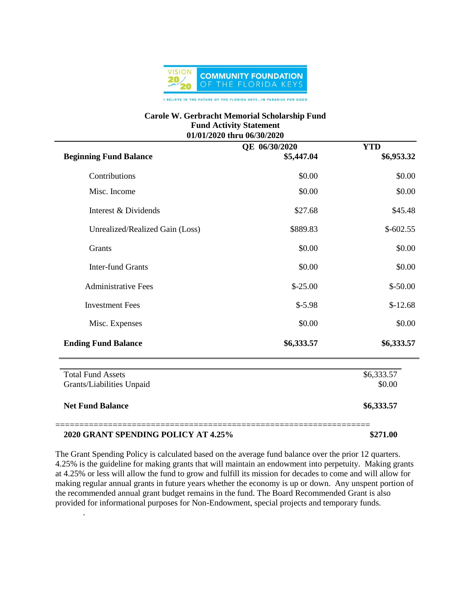

## **Carole W. Gerbracht Memorial Scholarship Fund Fund Activity Statement 01/01/2020 thru 06/30/2020**

| <b>Beginning Fund Balance</b>                         | QE 06/30/2020<br>\$5,447.04 | <b>YTD</b><br>\$6,953.32 |
|-------------------------------------------------------|-----------------------------|--------------------------|
| Contributions                                         | \$0.00                      | \$0.00                   |
| Misc. Income                                          | \$0.00                      | \$0.00                   |
| Interest & Dividends                                  | \$27.68                     | \$45.48                  |
| Unrealized/Realized Gain (Loss)                       | \$889.83                    | $$-602.55$               |
| Grants                                                | \$0.00                      | \$0.00                   |
| <b>Inter-fund Grants</b>                              | \$0.00                      | \$0.00                   |
| <b>Administrative Fees</b>                            | $$-25.00$                   | $$-50.00$                |
| <b>Investment Fees</b>                                | $$-5.98$                    | $$-12.68$                |
| Misc. Expenses                                        | \$0.00                      | \$0.00                   |
| <b>Ending Fund Balance</b>                            | \$6,333.57                  | \$6,333.57               |
| <b>Total Fund Assets</b><br>Grants/Liabilities Unpaid |                             | \$6,333.57<br>\$0.00     |
| <b>Net Fund Balance</b>                               |                             | \$6,333.57               |
| 2020 GRANT SPENDING POLICY AT 4.25%                   |                             | \$271.00                 |

The Grant Spending Policy is calculated based on the average fund balance over the prior 12 quarters. 4.25% is the guideline for making grants that will maintain an endowment into perpetuity. Making grants at 4.25% or less will allow the fund to grow and fulfill its mission for decades to come and will allow for making regular annual grants in future years whether the economy is up or down. Any unspent portion of the recommended annual grant budget remains in the fund. The Board Recommended Grant is also provided for informational purposes for Non-Endowment, special projects and temporary funds.

.